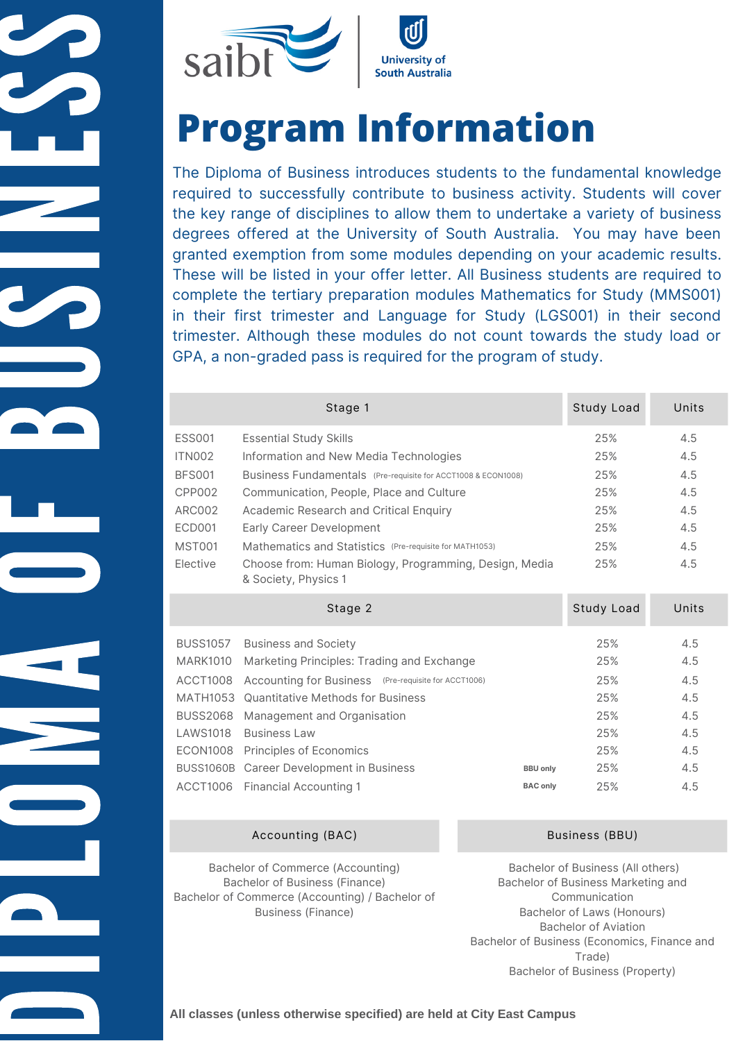



# **Program Information**

 degrees offered at the University of South Australia. You may have been The Diploma of Business introduces students to the fundamental knowledge required to successfully contribute to business activity. Students will cover the key range of disciplines to allow them to undertake a variety of business granted exemption from some modules depending on your academic results. These will be listed in your offer letter. All Business students are required to complete the tertiary preparation modules Mathematics for Study (MMS001) in their first trimester and Language for Study (LGS001) in their second trimester. Although these modules do not count towards the study load or GPA, a non-graded pass is required for the program of study.

|                  | Stage 1                                                                        |                 | Study Load | Units |
|------------------|--------------------------------------------------------------------------------|-----------------|------------|-------|
| <b>ESS001</b>    | <b>Essential Study Skills</b>                                                  |                 | 25%        | 4.5   |
| <b>ITN002</b>    | Information and New Media Technologies                                         |                 | 25%        | 4.5   |
| <b>BFS001</b>    | Business Fundamentals (Pre-requisite for ACCT1008 & ECON1008)                  |                 | 25%        | 4.5   |
| CPP002           | Communication, People, Place and Culture                                       |                 | 25%        | 4.5   |
| <b>ARC002</b>    | Academic Research and Critical Enquiry                                         |                 | 25%        | 4.5   |
| <b>ECD001</b>    | Early Career Development                                                       |                 | 25%        | 4.5   |
| <b>MST001</b>    | Mathematics and Statistics (Pre-requisite for MATH1053)                        |                 | 25%        | 4.5   |
| Elective         | Choose from: Human Biology, Programming, Design, Media<br>& Society, Physics 1 |                 | 25%        | 4.5   |
| Stage 2          |                                                                                |                 |            |       |
|                  |                                                                                |                 | Study Load | Units |
| <b>BUSS1057</b>  | <b>Business and Society</b>                                                    |                 | 25%        | 4.5   |
| <b>MARK1010</b>  | Marketing Principles: Trading and Exchange                                     |                 | 25%        | 4.5   |
| <b>ACCT1008</b>  | Accounting for Business (Pre-requisite for ACCT1006)                           |                 | 25%        | 4.5   |
| <b>MATH1053</b>  | <b>Quantitative Methods for Business</b>                                       |                 | 25%        | 4.5   |
| <b>BUSS2068</b>  | Management and Organisation                                                    |                 | 25%        | 4.5   |
| <b>LAWS1018</b>  | <b>Business Law</b>                                                            |                 | 25%        | 4.5   |
| <b>ECON1008</b>  | Principles of Economics                                                        |                 | 25%        | 4.5   |
| <b>BUSS1060B</b> | Career Development in Business                                                 | <b>BBU only</b> | 25%        | 4.5   |

Accounting (BAC) Business (BBU)

Bachelor of Commerce (Accounting) Bachelor of Business (Finance) Bachelor of Commerce (Accounting) / Bachelor of Business (Finance)

Bachelor of Business (All others) Bachelor of Business Marketing and Communication Bachelor of Laws (Honours) Bachelor of Aviation Bachelor of Business (Economics, Finance and Trade) Bachelor of Business (Property)